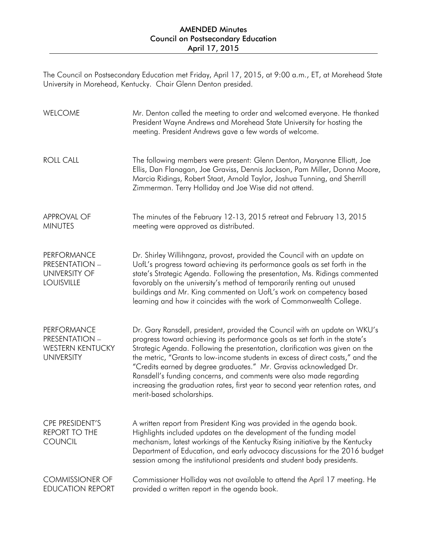## AMENDED Minutes Council on Postsecondary Education April 17, 2015

The Council on Postsecondary Education met Friday, April 17, 2015, at 9:00 a.m., ET, at Morehead State University in Morehead, Kentucky. Chair Glenn Denton presided.

| WELCOME                                                                              | Mr. Denton called the meeting to order and welcomed everyone. He thanked<br>President Wayne Andrews and Morehead State University for hosting the<br>meeting. President Andrews gave a few words of welcome.                                                                                                                                                                                                                                                                                                                                                                            |
|--------------------------------------------------------------------------------------|-----------------------------------------------------------------------------------------------------------------------------------------------------------------------------------------------------------------------------------------------------------------------------------------------------------------------------------------------------------------------------------------------------------------------------------------------------------------------------------------------------------------------------------------------------------------------------------------|
| <b>ROLL CALL</b>                                                                     | The following members were present: Glenn Denton, Maryanne Elliott, Joe<br>Ellis, Dan Flanagan, Joe Graviss, Dennis Jackson, Pam Miller, Donna Moore,<br>Marcia Ridings, Robert Staat, Arnold Taylor, Joshua Tunning, and Sherrill<br>Zimmerman. Terry Holliday and Joe Wise did not attend.                                                                                                                                                                                                                                                                                            |
| <b>APPROVAL OF</b><br><b>MINUTES</b>                                                 | The minutes of the February 12-13, 2015 retreat and February 13, 2015<br>meeting were approved as distributed.                                                                                                                                                                                                                                                                                                                                                                                                                                                                          |
| <b>PERFORMANCE</b><br>PRESENTATION -<br><b>UNIVERSITY OF</b><br><b>LOUISVILLE</b>    | Dr. Shirley Willihnganz, provost, provided the Council with an update on<br>UofL's progress toward achieving its performance goals as set forth in the<br>state's Strategic Agenda. Following the presentation, Ms. Ridings commented<br>favorably on the university's method of temporarily renting out unused<br>buildings and Mr. King commented on UofL's work on competency based<br>learning and how it coincides with the work of Commonwealth College.                                                                                                                          |
| <b>PERFORMANCE</b><br>PRESENTATION -<br><b>WESTERN KENTUCKY</b><br><b>UNIVERSITY</b> | Dr. Gary Ransdell, president, provided the Council with an update on WKU's<br>progress toward achieving its performance goals as set forth in the state's<br>Strategic Agenda. Following the presentation, clarification was given on the<br>the metric, "Grants to low-income students in excess of direct costs," and the<br>"Credits earned by degree graduates." Mr. Graviss acknowledged Dr.<br>Ransdell's funding concerns, and comments were also made regarding<br>increasing the graduation rates, first year to second year retention rates, and<br>merit-based scholarships. |
| CPE PRESIDENT'S<br>REPORT TO THE<br><b>COUNCIL</b>                                   | A written report from President King was provided in the agenda book.<br>Highlights included updates on the development of the funding model<br>mechanism, latest workings of the Kentucky Rising initiative by the Kentucky<br>Department of Education, and early advocacy discussions for the 2016 budget<br>session among the institutional presidents and student body presidents.                                                                                                                                                                                                  |
| <b>COMMISSIONER OF</b><br><b>EDUCATION REPORT</b>                                    | Commissioner Holliday was not available to attend the April 17 meeting. He<br>provided a written report in the agenda book.                                                                                                                                                                                                                                                                                                                                                                                                                                                             |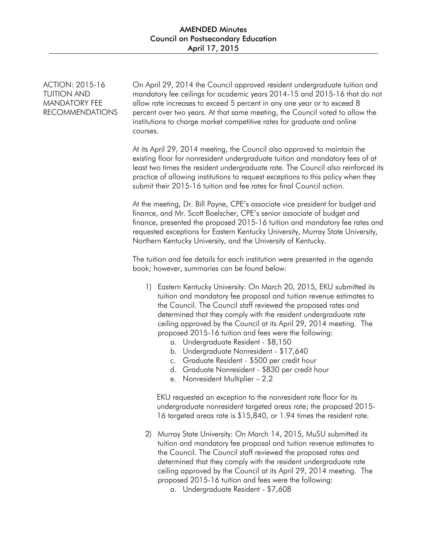ACTION: 2015-16 TUITION AND MANDATORY FEE RECOMMENDATIONS On April 29, 2014 the Council approved resident undergraduate tuition and mandatory fee ceilings for academic years 2014-15 and 2015-16 that do not allow rate increases to exceed 5 percent in any one year or to exceed 8 percent over two years. At that same meeting, the Council voted to allow the institutions to charge market competitive rates for graduate and online courses.

At its April 29, 2014 meeting, the Council also approved to maintain the existing floor for nonresident undergraduate tuition and mandatory fees of at least two times the resident undergraduate rate. The Council also reinforced its practice of allowing institutions to request exceptions to this policy when they submit their 2015-16 tuition and fee rates for final Council action.

At the meeting, Dr. Bill Payne, CPE's associate vice president for budget and finance, and Mr. Scott Boelscher, CPE's senior associate of budget and finance, presented the proposed 2015-16 tuition and mandatory fee rates and requested exceptions for Eastern Kentucky University, Murray State University, Northern Kentucky University, and the University of Kentucky.

The tuition and fee details for each institution were presented in the agenda book; however, summaries can be found below:

- 1) Eastern Kentucky University: On March 20, 2015, EKU submitted its tuition and mandatory fee proposal and tuition revenue estimates to the Council. The Council staff reviewed the proposed rates and determined that they comply with the resident undergraduate rate ceiling approved by the Council at its April 29, 2014 meeting. The proposed 2015-16 tuition and fees were the following:
	- a. Undergraduate Resident \$8,150
	- b. Undergraduate Nonresident \$17,640
	- c. Graduate Resident \$500 per credit hour
	- d. Graduate Nonresident \$830 per credit hour
	- e. Nonresident Multiplier 2.2

EKU requested an exception to the nonresident rate floor for its undergraduate nonresident targeted areas rate; the proposed 2015- 16 targeted areas rate is \$15,840, or 1.94 times the resident rate.

- 2) Murray State University: On March 14, 2015, MuSU submitted its tuition and mandatory fee proposal and tuition revenue estimates to the Council. The Council staff reviewed the proposed rates and determined that they comply with the resident undergraduate rate ceiling approved by the Council at its April 29, 2014 meeting. The proposed 2015-16 tuition and fees were the following:
	- a. Undergraduate Resident \$7,608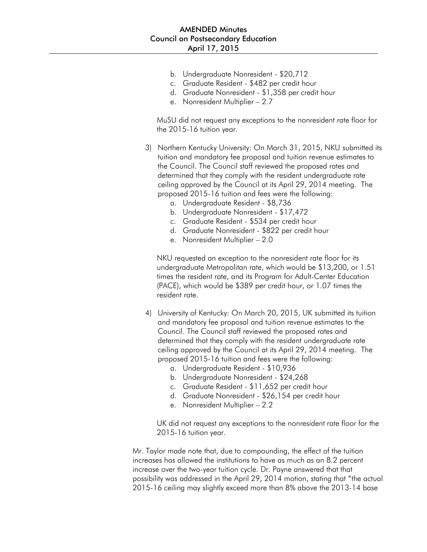- b. Undergraduate Nonresident \$20,712
- c. Graduate Resident \$482 per credit hour
- d. Graduate Nonresident \$1,358 per credit hour
- e. Nonresident Multiplier 2.7

MuSU did not request any exceptions to the nonresident rate floor for the 2015-16 tuition year.

- 3) Northern Kentucky University: On March 31, 2015, NKU submitted its tuition and mandatory fee proposal and tuition revenue estimates to the Council. The Council staff reviewed the proposed rates and determined that they comply with the resident undergraduate rate ceiling approved by the Council at its April 29, 2014 meeting. The proposed 2015-16 tuition and fees were the following:
	- a. Undergraduate Resident \$8,736
	- b. Undergraduate Nonresident \$17,472
	- c. Graduate Resident \$534 per credit hour
	- d. Graduate Nonresident \$822 per credit hour
	- e. Nonresident Multiplier 2.0

NKU requested an exception to the nonresident rate floor for its undergraduate Metropolitan rate, which would be \$13,200, or 1.51 times the resident rate, and its Program for Adult-Center Education (PACE), which would be \$389 per credit hour, or 1.07 times the resident rate.

- 4) University of Kentucky: On March 20, 2015, UK submitted its tuition and mandatory fee proposal and tuition revenue estimates to the Council. The Council staff reviewed the proposed rates and determined that they comply with the resident undergraduate rate ceiling approved by the Council at its April 29, 2014 meeting. The proposed 2015-16 tuition and fees were the following:
	- a. Undergraduate Resident \$10,936
	- b. Undergraduate Nonresident \$24,268
	- c. Graduate Resident \$11,652 per credit hour
	- d. Graduate Nonresident \$26,154 per credit hour
	- e. Nonresident Multiplier 2.2

UK did not request any exceptions to the nonresident rate floor for the 2015-16 tuition year.

Mr. Taylor made note that, due to compounding, the effect of the tuition increases has allowed the institutions to have as much as an 8.2 percent increase over the two-year tuition cycle. Dr. Payne answered that that possibility was addressed in the April 29, 2014 motion, stating that "the actual 2015-16 ceiling may slightly exceed more than 8% above the 2013-14 base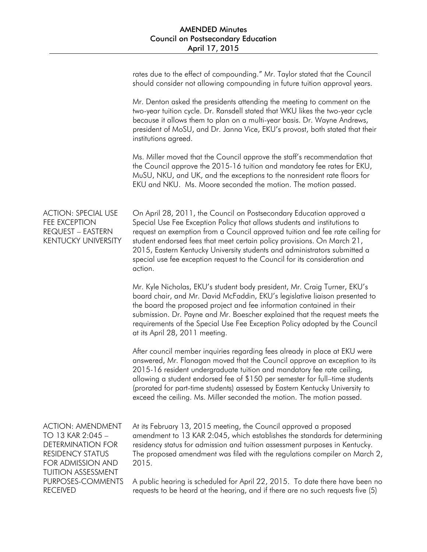|                                                                                                                                                        | rates due to the effect of compounding." Mr. Taylor stated that the Council<br>should consider not allowing compounding in future tuition approval years.                                                                                                                                                                                                                                                                                                                           |
|--------------------------------------------------------------------------------------------------------------------------------------------------------|-------------------------------------------------------------------------------------------------------------------------------------------------------------------------------------------------------------------------------------------------------------------------------------------------------------------------------------------------------------------------------------------------------------------------------------------------------------------------------------|
|                                                                                                                                                        | Mr. Denton asked the presidents attending the meeting to comment on the<br>two-year tuition cycle. Dr. Ransdell stated that WKU likes the two-year cycle<br>because it allows them to plan on a multi-year basis. Dr. Wayne Andrews,<br>president of MoSU, and Dr. Janna Vice, EKU's provost, both stated that their<br>institutions agreed.                                                                                                                                        |
|                                                                                                                                                        | Ms. Miller moved that the Council approve the staff's recommendation that<br>the Council approve the 2015-16 tuition and mandatory fee rates for EKU,<br>MuSU, NKU, and UK, and the exceptions to the nonresident rate floors for<br>EKU and NKU. Ms. Moore seconded the motion. The motion passed.                                                                                                                                                                                 |
| <b>ACTION: SPECIAL USE</b><br>FEE EXCEPTION<br>REQUEST - EASTERN<br><b>KENTUCKY UNIVERSITY</b>                                                         | On April 28, 2011, the Council on Postsecondary Education approved a<br>Special Use Fee Exception Policy that allows students and institutions to<br>request an exemption from a Council approved tuition and fee rate ceiling for<br>student endorsed fees that meet certain policy provisions. On March 21,<br>2015, Eastern Kentucky University students and administrators submitted a<br>special use fee exception request to the Council for its consideration and<br>action. |
|                                                                                                                                                        | Mr. Kyle Nicholas, EKU's student body president, Mr. Craig Turner, EKU's<br>board chair, and Mr. David McFaddin, EKU's legislative liaison presented to<br>the board the proposed project and fee information contained in their<br>submission. Dr. Payne and Mr. Boescher explained that the request meets the<br>requirements of the Special Use Fee Exception Policy adopted by the Council<br>at its April 28, 2011 meeting.                                                    |
|                                                                                                                                                        | After council member inquiries regarding fees already in place at EKU were<br>answered, Mr. Flanagan moved that the Council approve an exception to its<br>2015-16 resident undergraduate tuition and mandatory fee rate ceiling,<br>allowing a student endorsed fee of \$150 per semester for full-time students<br>(prorated for part-time students) assessed by Eastern Kentucky University to<br>exceed the ceiling. Ms. Miller seconded the motion. The motion passed.         |
| <b>ACTION: AMENDMENT</b><br>TO 13 KAR 2:045 -<br><b>DETERMINATION FOR</b><br><b>RESIDENCY STATUS</b><br>FOR ADMISSION AND<br><b>TUITION ASSESSMENT</b> | At its February 13, 2015 meeting, the Council approved a proposed<br>amendment to 13 KAR 2:045, which establishes the standards for determining<br>residency status for admission and tuition assessment purposes in Kentucky.<br>The proposed amendment was filed with the regulations compiler on March 2,<br>2015.                                                                                                                                                               |
| PURPOSES-COMMENTS<br><b>RECEIVED</b>                                                                                                                   | A public hearing is scheduled for April 22, 2015. To date there have been no<br>requests to be heard at the hearing, and if there are no such requests five (5)                                                                                                                                                                                                                                                                                                                     |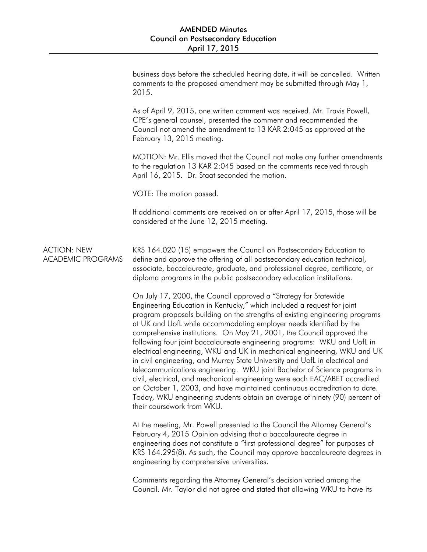|                                                | business days before the scheduled hearing date, it will be cancelled. Written<br>comments to the proposed amendment may be submitted through May 1,<br>2015.                                                                                                                                                                                                                                                                                                                                                                                                                                                                                                                                                                                                                                                                                                                                                                                                            |
|------------------------------------------------|--------------------------------------------------------------------------------------------------------------------------------------------------------------------------------------------------------------------------------------------------------------------------------------------------------------------------------------------------------------------------------------------------------------------------------------------------------------------------------------------------------------------------------------------------------------------------------------------------------------------------------------------------------------------------------------------------------------------------------------------------------------------------------------------------------------------------------------------------------------------------------------------------------------------------------------------------------------------------|
|                                                | As of April 9, 2015, one written comment was received. Mr. Travis Powell,<br>CPE's general counsel, presented the comment and recommended the<br>Council not amend the amendment to 13 KAR 2:045 as approved at the<br>February 13, 2015 meeting.                                                                                                                                                                                                                                                                                                                                                                                                                                                                                                                                                                                                                                                                                                                        |
|                                                | MOTION: Mr. Ellis moved that the Council not make any further amendments<br>to the regulation 13 KAR 2:045 based on the comments received through<br>April 16, 2015. Dr. Staat seconded the motion.                                                                                                                                                                                                                                                                                                                                                                                                                                                                                                                                                                                                                                                                                                                                                                      |
|                                                | VOTE: The motion passed.                                                                                                                                                                                                                                                                                                                                                                                                                                                                                                                                                                                                                                                                                                                                                                                                                                                                                                                                                 |
|                                                | If additional comments are received on or after April 17, 2015, those will be<br>considered at the June 12, 2015 meeting.                                                                                                                                                                                                                                                                                                                                                                                                                                                                                                                                                                                                                                                                                                                                                                                                                                                |
| <b>ACTION: NEW</b><br><b>ACADEMIC PROGRAMS</b> | KRS 164.020 (15) empowers the Council on Postsecondary Education to<br>define and approve the offering of all postsecondary education technical,<br>associate, baccalaureate, graduate, and professional degree, certificate, or<br>diploma programs in the public postsecondary education institutions.                                                                                                                                                                                                                                                                                                                                                                                                                                                                                                                                                                                                                                                                 |
|                                                | On July 17, 2000, the Council approved a "Strategy for Statewide<br>Engineering Education in Kentucky," which included a request for joint<br>program proposals building on the strengths of existing engineering programs<br>at UK and UofL while accommodating employer needs identified by the<br>comprehensive institutions. On May 21, 2001, the Council approved the<br>following four joint baccalaureate engineering programs: WKU and UofL in<br>electrical engineering, WKU and UK in mechanical engineering, WKU and UK<br>in civil engineering, and Murray State University and UofL in electrical and<br>telecommunications engineering. WKU joint Bachelor of Science programs in<br>civil, electrical, and mechanical engineering were each EAC/ABET accredited<br>on October 1, 2003, and have maintained continuous accreditation to date.<br>Today, WKU engineering students obtain an average of ninety (90) percent of<br>their coursework from WKU. |
|                                                | At the meeting, Mr. Powell presented to the Council the Attorney General's<br>February 4, 2015 Opinion advising that a baccalaureate degree in<br>engineering does not constitute a "first professional degree" for purposes of<br>KRS 164.295(8). As such, the Council may approve baccalaureate degrees in<br>engineering by comprehensive universities.                                                                                                                                                                                                                                                                                                                                                                                                                                                                                                                                                                                                               |
|                                                | Comments regarding the Attorney General's decision varied among the<br>Council. Mr. Taylor did not agree and stated that allowing WKU to have its                                                                                                                                                                                                                                                                                                                                                                                                                                                                                                                                                                                                                                                                                                                                                                                                                        |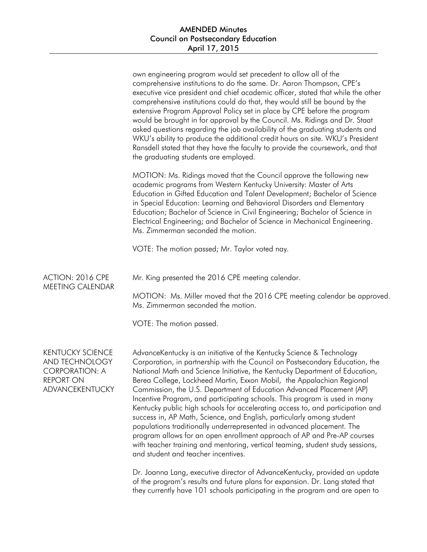|                                                                                                           | own engineering program would set precedent to allow all of the<br>comprehensive institutions to do the same. Dr. Aaron Thompson, CPE's<br>executive vice president and chief academic officer, stated that while the other<br>comprehensive institutions could do that, they would still be bound by the<br>extensive Program Approval Policy set in place by CPE before the program<br>would be brought in for approval by the Council. Ms. Ridings and Dr. Staat<br>asked questions regarding the job availability of the graduating students and<br>WKU's ability to produce the additional credit hours on site. WKU's President<br>Ransdell stated that they have the faculty to provide the coursework, and that<br>the graduating students are employed.                                                                                                                                                                                                                          |
|-----------------------------------------------------------------------------------------------------------|-------------------------------------------------------------------------------------------------------------------------------------------------------------------------------------------------------------------------------------------------------------------------------------------------------------------------------------------------------------------------------------------------------------------------------------------------------------------------------------------------------------------------------------------------------------------------------------------------------------------------------------------------------------------------------------------------------------------------------------------------------------------------------------------------------------------------------------------------------------------------------------------------------------------------------------------------------------------------------------------|
|                                                                                                           | MOTION: Ms. Ridings moved that the Council approve the following new<br>academic programs from Western Kentucky University: Master of Arts<br>Education in Gifted Education and Talent Development; Bachelor of Science<br>in Special Education: Learning and Behavioral Disorders and Elementary<br>Education; Bachelor of Science in Civil Engineering; Bachelor of Science in<br>Electrical Engineering; and Bachelor of Science in Mechanical Engineering.<br>Ms. Zimmerman seconded the motion.                                                                                                                                                                                                                                                                                                                                                                                                                                                                                      |
|                                                                                                           | VOTE: The motion passed; Mr. Taylor voted nay.                                                                                                                                                                                                                                                                                                                                                                                                                                                                                                                                                                                                                                                                                                                                                                                                                                                                                                                                            |
| ACTION: 2016 CPE<br>MEETING CALENDAR                                                                      | Mr. King presented the 2016 CPE meeting calendar.<br>MOTION: Ms. Miller moved that the 2016 CPE meeting calendar be approved.<br>Ms. Zimmerman seconded the motion.<br>VOTE: The motion passed.                                                                                                                                                                                                                                                                                                                                                                                                                                                                                                                                                                                                                                                                                                                                                                                           |
| <b>KENTUCKY SCIENCE</b><br>AND TECHNOLOGY<br><b>CORPORATION: A</b><br><b>REPORT ON</b><br>ADVANCEKENTUCKY | AdvanceKentucky is an initiative of the Kentucky Science & Technology<br>Corporation, in partnership with the Council on Postsecondary Education, the<br>National Math and Science Initiative, the Kentucky Department of Education,<br>Berea College, Lockheed Martin, Exxon Mobil, the Appalachian Regional<br>Commission, the U.S. Department of Education Advanced Placement (AP)<br>Incentive Program, and participating schools. This program is used in many<br>Kentucky public high schools for accelerating access to, and participation and<br>success in, AP Math, Science, and English, particularly among student<br>populations traditionally underrepresented in advanced placement. The<br>program allows for an open enrollment approach of AP and Pre-AP courses<br>with teacher training and mentoring, vertical teaming, student study sessions,<br>and student and teacher incentives.<br>Dr. Joanna Lang, executive director of AdvanceKentucky, provided an update |

of the program's results and future plans for expansion. Dr. Lang stated that they currently have 101 schools participating in the program and are open to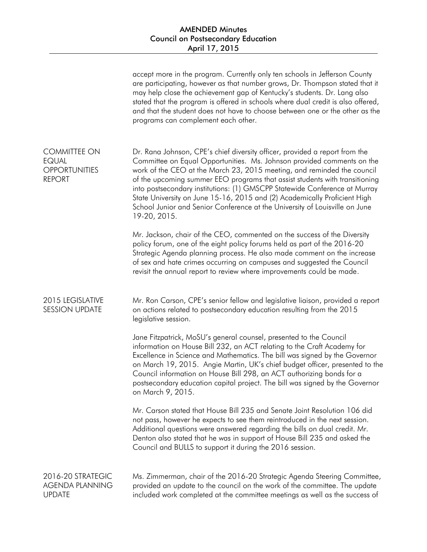## AMENDED Minutes Council on Postsecondary Education April 17, 2015

|                                                                              | accept more in the program. Currently only ten schools in Jefferson County<br>are participating, however as that number grows, Dr. Thompson stated that it<br>may help close the achievement gap of Kentucky's students. Dr. Lang also<br>stated that the program is offered in schools where dual credit is also offered,<br>and that the student does not have to choose between one or the other as the<br>programs can complement each other.                                                                                                                         |
|------------------------------------------------------------------------------|---------------------------------------------------------------------------------------------------------------------------------------------------------------------------------------------------------------------------------------------------------------------------------------------------------------------------------------------------------------------------------------------------------------------------------------------------------------------------------------------------------------------------------------------------------------------------|
| <b>COMMITTEE ON</b><br><b>EQUAL</b><br><b>OPPORTUNITIES</b><br><b>REPORT</b> | Dr. Rana Johnson, CPE's chief diversity officer, provided a report from the<br>Committee on Equal Opportunities. Ms. Johnson provided comments on the<br>work of the CEO at the March 23, 2015 meeting, and reminded the council<br>of the upcoming summer EEO programs that assist students with transitioning<br>into postsecondary institutions: (1) GMSCPP Statewide Conference at Murray<br>State University on June 15-16, 2015 and (2) Academically Proficient High<br>School Junior and Senior Conference at the University of Louisville on June<br>19-20, 2015. |
|                                                                              | Mr. Jackson, chair of the CEO, commented on the success of the Diversity<br>policy forum, one of the eight policy forums held as part of the 2016-20<br>Strategic Agenda planning process. He also made comment on the increase<br>of sex and hate crimes occurring on campuses and suggested the Council<br>revisit the annual report to review where improvements could be made.                                                                                                                                                                                        |
| 2015 LEGISLATIVE<br><b>SESSION UPDATE</b>                                    | Mr. Ron Carson, CPE's senior fellow and legislative liaison, provided a report<br>on actions related to postsecondary education resulting from the 2015<br>legislative session.                                                                                                                                                                                                                                                                                                                                                                                           |
|                                                                              | Jane Fitzpatrick, MoSU's general counsel, presented to the Council<br>information on House Bill 232, an ACT relating to the Craft Academy for<br>Excellence in Science and Mathematics. The bill was signed by the Governor<br>on March 19, 2015. Angie Martin, UK's chief budget officer, presented to the<br>Council information on House Bill 298, an ACT authorizing bonds for a<br>postsecondary education capital project. The bill was signed by the Governor<br>on March 9, 2015.                                                                                 |
|                                                                              | Mr. Carson stated that House Bill 235 and Senate Joint Resolution 106 did<br>not pass, however he expects to see them reintroduced in the next session.<br>Additional questions were answered regarding the bills on dual credit. Mr.<br>Denton also stated that he was in support of House Bill 235 and asked the<br>Council and BULLS to support it during the 2016 session.                                                                                                                                                                                            |
| 2016-20 STRATEGIC<br><b>AGENDA PLANNING</b><br><b>UPDATE</b>                 | Ms. Zimmerman, chair of the 2016-20 Strategic Agenda Steering Committee,<br>provided an update to the council on the work of the committee. The update<br>included work completed at the committee meetings as well as the success of                                                                                                                                                                                                                                                                                                                                     |